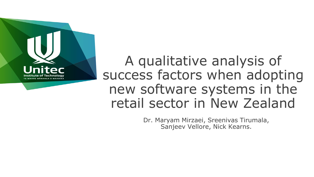

A qualitative analysis of success factors when adopting new software systems in the retail sector in New Zealand

> Dr. Maryam Mirzaei, Sreenivas Tirumala, Sanjeev Vellore, Nick Kearns.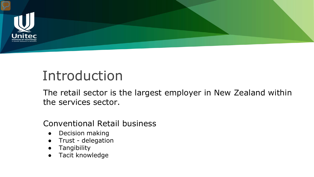

# Introduction

The retail sector is the largest employer in New Zealand within the services sector.

#### Conventional Retail business

- Decision making
- Trust delegation
- **Tangibility**
- Tacit knowledge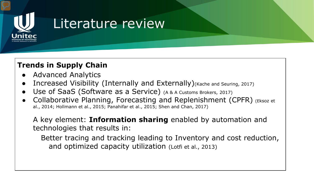

## Literature review

#### **Trends in Supply Chain**

- **Advanced Analytics**
- Increased Visibility (Internally and Externally) (Kache and Seuring, 2017)
- Use of SaaS (Software as a Service) (A & A Customs Brokers, 2017)
- Collaborative Planning, Forecasting and Replenishment (CPFR) (Eksoz et al., 2014; Hollmann et al., 2015; Panahifar et al., 2015; Shen and Chan, 2017)

A key element: **Information sharing** enabled by automation and technologies that results in:

Better tracing and tracking leading to Inventory and cost reduction, and optimized capacity utilization (Lotfi et al., 2013)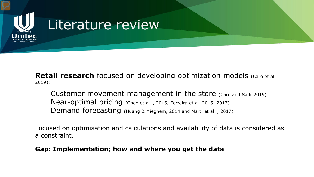

**Retail research** focused on developing optimization models (Caro et al. 2019):

Customer movement management in the store (Caro and Sadr 2019) Near-optimal pricing (Chen et al. , 2015; Ferreira et al. 2015; 2017) Demand forecasting (Huang & Mieghem, 2014 and Mart. et al. , 2017)

Focused on optimisation and calculations and availability of data is considered as a constraint.

#### **Gap: Implementation; how and where you get the data**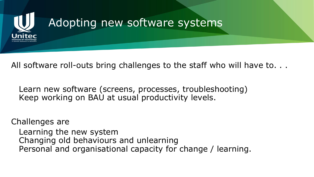

All software roll-outs bring challenges to the staff who will have to. . .

Learn new software (screens, processes, troubleshooting) Keep working on BAU at usual productivity levels.

Challenges are Learning the new system Changing old behaviours and unlearning Personal and organisational capacity for change / learning.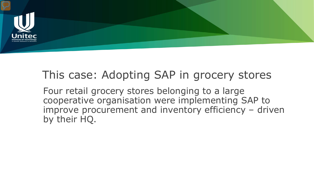

#### This case: Adopting SAP in grocery stores

Four retail grocery stores belonging to a large cooperative organisation were implementing SAP to improve procurement and inventory efficiency – driven by their HQ.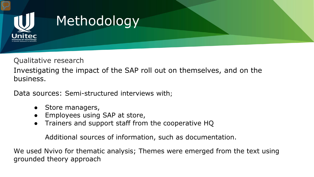

# Methodology

Qualitative research

Investigating the impact of the SAP roll out on themselves, and on the business.

Data sources: Semi-structured interviews with;

- Store managers,
- Employees using SAP at store,
- Trainers and support staff from the cooperative HQ

Additional sources of information, such as documentation.

We used Nvivo for thematic analysis; Themes were emerged from the text using grounded theory approach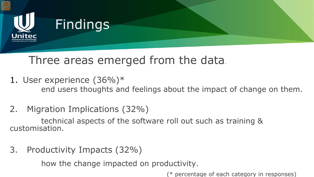

## Three areas emerged from the data.

- 1. User experience (36%)\* end users thoughts and feelings about the impact of change on them.
- 2. Migration Implications (32%)

technical aspects of the software roll out such as training & customisation.

3. Productivity Impacts (32%)

how the change impacted on productivity.

(\* percentage of each category in responses)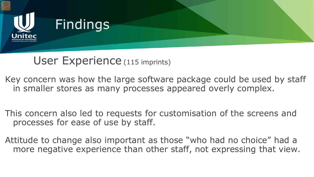

#### User Experience (115 imprints)

Key concern was how the large software package could be used by staff in smaller stores as many processes appeared overly complex.

This concern also led to requests for customisation of the screens and processes for ease of use by staff.

Attitude to change also important as those "who had no choice" had a more negative experience than other staff, not expressing that view.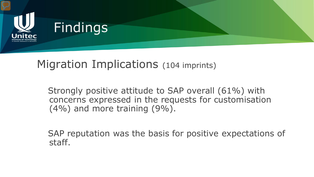

Migration Implications (104 imprints)

Strongly positive attitude to SAP overall (61%) with concerns expressed in the requests for customisation (4%) and more training (9%).

SAP reputation was the basis for positive expectations of staff.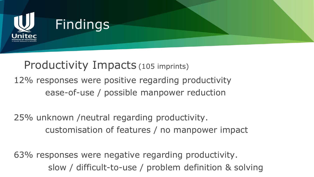

Productivity Impacts (105 imprints) 12% responses were positive regarding productivity ease-of-use / possible manpower reduction

25% unknown /neutral regarding productivity. customisation of features / no manpower impact

63% responses were negative regarding productivity. slow / difficult-to-use / problem definition & solving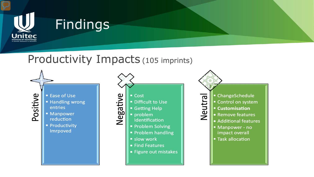

## Findings

#### Productivity Impacts (105 imprints)

Positive

- Ease of Use
- Handling wrong entries
- **Manpower** reduction
- **Productivity** Imrpoved



- Find Features
- Figure out mistakes

ChangeSchedule Neutral Control on system **Customisation Remove features Additional features** Manpower - no

- impact overall
- **Task allocation**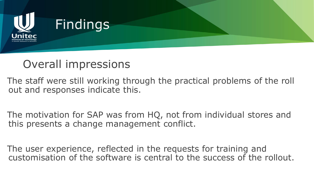

#### Overall impressions

The staff were still working through the practical problems of the roll out and responses indicate this.

The motivation for SAP was from HQ, not from individual stores and this presents a change management conflict.

The user experience, reflected in the requests for training and customisation of the software is central to the success of the rollout.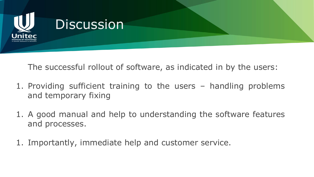

The successful rollout of software, as indicated in by the users:

- 1. Providing sufficient training to the users handling problems and temporary fixing
- 1. A good manual and help to understanding the software features and processes.
- 1. Importantly, immediate help and customer service.